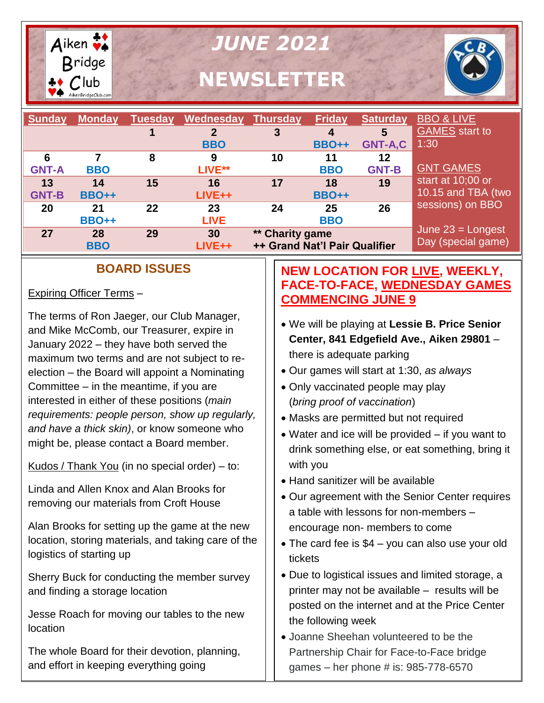

*JUNE 2021*

**NEWSLETTER**



| <b>Sunday</b> | <b>Monday</b> |    | Tuesday Wednesday Thursday |                               | <b>Friday</b> | <b>Saturday</b> | <b>BBO &amp; LIVE</b> |
|---------------|---------------|----|----------------------------|-------------------------------|---------------|-----------------|-----------------------|
|               |               |    | 2                          | 3                             | 4             | 5               | <b>GAMES</b> start to |
|               |               |    | <b>BBO</b>                 |                               | <b>BBO++</b>  | <b>GNT-A,C</b>  | 1:30                  |
| 6             |               | 8  | 9                          | 10                            | 11            | 12              |                       |
| <b>GNT-A</b>  | <b>BBO</b>    |    | LIVE**                     |                               | <b>BBO</b>    | <b>GNT-B</b>    | <b>GNT GAMES</b>      |
| 13            | 14            | 15 | 16                         | 17                            | 18            | 19              | start at 10;00 or     |
| <b>GNT-B</b>  | <b>BBO++</b>  |    | $LIVE++$                   |                               | <b>BBO++</b>  |                 | 10.15 and TBA (two    |
| 20            | 21            | 22 | 23                         | 24                            | 25            | 26              | sessions) on BBO      |
|               | <b>BBO++</b>  |    | <b>LIVE</b>                |                               | <b>BBO</b>    |                 |                       |
| 27            | 28            | 29 | 30                         | <b>** Charity game</b>        |               |                 | June $23$ = Longest   |
|               | <b>BBO</b>    |    | $LIVE++$                   | ++ Grand Nat'l Pair Qualifier |               |                 | Day (special game)    |

# **BOARD ISSUES**

#### Expiring Officer Terms –

The terms of Ron Jaeger, our Club Manager, and Mike McComb, our Treasurer, expire in January 2022 – they have both served the maximum two terms and are not subject to reelection – the Board will appoint a Nominating Committee – in the meantime, if you are interested in either of these positions (*main requirements: people person, show up regularly, and have a thick skin)*, or know someone who might be, please contact a Board member.

Kudos / Thank You (in no special order) – to:

Linda and Allen Knox and Alan Brooks for removing our materials from Croft House

Alan Brooks for setting up the game at the new location, storing materials, and taking care of the logistics of starting up

Sherry Buck for conducting the member survey and finding a storage location

Jesse Roach for moving our tables to the new location

The whole Board for their devotion, planning, and effort in keeping everything going

# **NEW LOCATION FOR LIVE, WEEKLY, FACE-TO-FACE, WEDNESDAY GAMES COMMENCING JUNE 9**

- We will be playing at **Lessie B. Price Senior Center, 841 Edgefield Ave., Aiken 29801** – there is adequate parking
- Our games will start at 1:30, *as always*
- Only vaccinated people may play (*bring proof of vaccination*)
- Masks are permitted but not required
- Water and ice will be provided if you want to drink something else, or eat something, bring it with you
- Hand sanitizer will be available
- Our agreement with the Senior Center requires a table with lessons for non-members – encourage non- members to come
- The card fee is \$4 you can also use your old tickets
- Due to logistical issues and limited storage, a printer may not be available – results will be posted on the internet and at the Price Center the following week
- Joanne Sheehan volunteered to be the Partnership Chair for Face-to-Face bridge games – her phone # is: 985-778-6570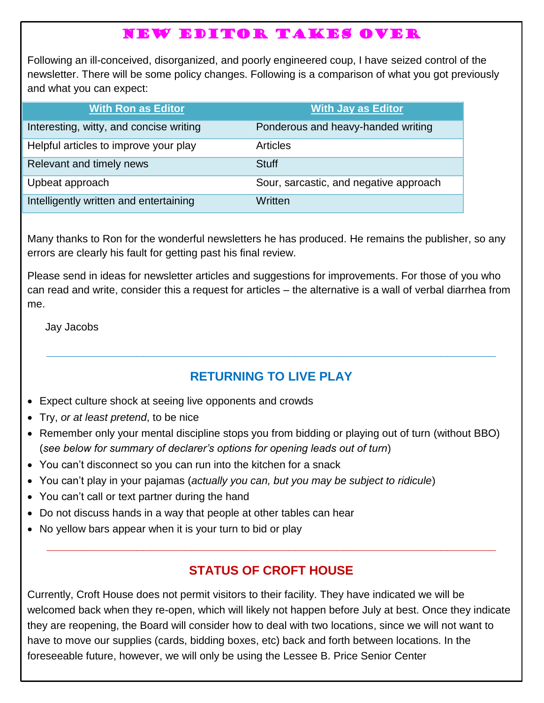# NEW EDITOR TAKES OVER

Following an ill-conceived, disorganized, and poorly engineered coup, I have seized control of the newsletter. There will be some policy changes. Following is a comparison of what you got previously and what you can expect:

| <b>With Ron as Editor</b>               | <b>With Jay as Editor</b>              |
|-----------------------------------------|----------------------------------------|
| Interesting, witty, and concise writing | Ponderous and heavy-handed writing     |
| Helpful articles to improve your play   | <b>Articles</b>                        |
| Relevant and timely news                | <b>Stuff</b>                           |
| Upbeat approach                         | Sour, sarcastic, and negative approach |
| Intelligently written and entertaining  | Written                                |

Many thanks to Ron for the wonderful newsletters he has produced. He remains the publisher, so any errors are clearly his fault for getting past his final review.

Please send in ideas for newsletter articles and suggestions for improvements. For those of you who can read and write, consider this a request for articles – the alternative is a wall of verbal diarrhea from me.

Jay Jacobs

 $\overline{a}$ 

# **RETURNING TO LIVE PLAY**

**\_\_\_\_\_\_\_\_\_\_\_\_\_\_\_\_\_\_\_\_\_\_\_\_\_\_\_\_\_\_\_\_\_\_\_\_\_\_\_\_\_\_\_\_\_\_\_\_\_\_\_\_\_\_\_\_\_\_\_\_\_\_\_\_\_**

- Expect culture shock at seeing live opponents and crowds
- Try, *or at least pretend*, to be nice
- Remember only your mental discipline stops you from bidding or playing out of turn (without BBO) (*see below for summary of declarer's options for opening leads out of turn*)
- You can't disconnect so you can run into the kitchen for a snack
- You can't play in your pajamas (*actually you can, but you may be subject to ridicule*)
- You can't call or text partner during the hand
- Do not discuss hands in a way that people at other tables can hear
- No yellow bars appear when it is your turn to bid or play

#### **STATUS OF CROFT HOUSE**

**\_\_\_\_\_\_\_\_\_\_\_\_\_\_\_\_\_\_\_\_\_\_\_\_\_\_\_\_\_\_\_\_\_\_\_\_\_\_\_\_\_\_\_\_\_\_\_\_\_\_\_\_\_\_\_\_\_\_\_\_\_\_\_\_\_**

Currently, Croft House does not permit visitors to their facility. They have indicated we will be welcomed back when they re-open, which will likely not happen before July at best. Once they indicate they are reopening, the Board will consider how to deal with two locations, since we will not want to have to move our supplies (cards, bidding boxes, etc) back and forth between locations. In the foreseeable future, however, we will only be using the Lessee B. Price Senior Center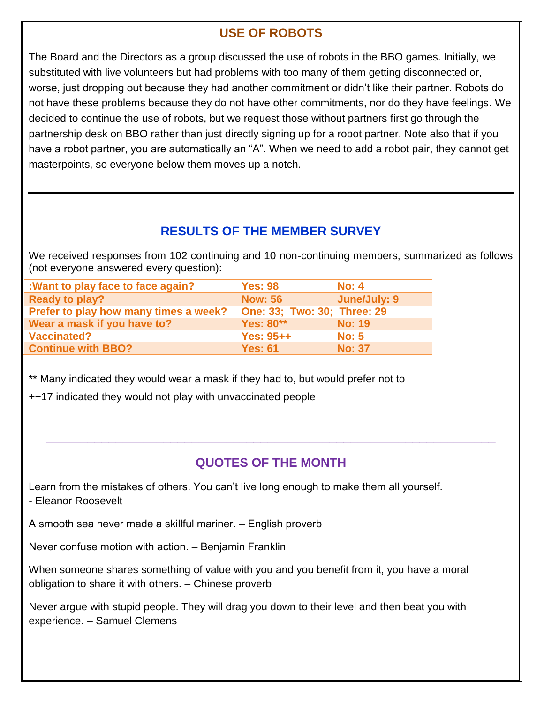## **USE OF ROBOTS**

The Board and the Directors as a group discussed the use of robots in the BBO games. Initially, we substituted with live volunteers but had problems with too many of them getting disconnected or, worse, just dropping out because they had another commitment or didn't like their partner. Robots do not have these problems because they do not have other commitments, nor do they have feelings. We decided to continue the use of robots, but we request those without partners first go through the partnership desk on BBO rather than just directly signing up for a robot partner. Note also that if you have a robot partner, you are automatically an "A". When we need to add a robot pair, they cannot get masterpoints, so everyone below them moves up a notch.

### **RESULTS OF THE MEMBER SURVEY**

We received responses from 102 continuing and 10 non-continuing members, summarized as follows (not everyone answered every question):

| : Want to play face to face again?    | <b>Yes: 98</b>              | <b>No: 4</b>  |
|---------------------------------------|-----------------------------|---------------|
| <b>Ready to play?</b>                 | <b>Now: 56</b>              | June/July: 9  |
| Prefer to play how many times a week? | One: 33; Two: 30; Three: 29 |               |
| Wear a mask if you have to?           | Yes: 80**                   | <b>No: 19</b> |
| <b>Vaccinated?</b>                    | $Yes: 95++$                 | <b>No: 5</b>  |
| <b>Continue with BBO?</b>             | <b>Yes: 61</b>              | <b>No: 37</b> |

\*\* Many indicated they would wear a mask if they had to, but would prefer not to

++17 indicated they would not play with unvaccinated people

# **QUOTES OF THE MONTH**

**\_\_\_\_\_\_\_\_\_\_\_\_\_\_\_\_\_\_\_\_\_\_\_\_\_\_\_\_\_\_\_\_\_\_\_\_\_\_\_\_\_\_\_\_\_\_\_\_\_\_\_\_\_\_\_\_\_\_\_\_\_\_\_\_\_**

Learn from the mistakes of others. You can't live long enough to make them all yourself.

- Eleanor Roosevelt

A smooth sea never made a skillful mariner. – English proverb

Never confuse motion with action. - Benjamin Franklin

**Falling Down Bridge** obligation to share it with others. – Chinese proverb When someone shares something of value with you and you benefit from it, you have a moral

Never argue with stupid people. They will drag you down to their level and then beat you with experience. – Samuel Clemens

**Dental Bridge**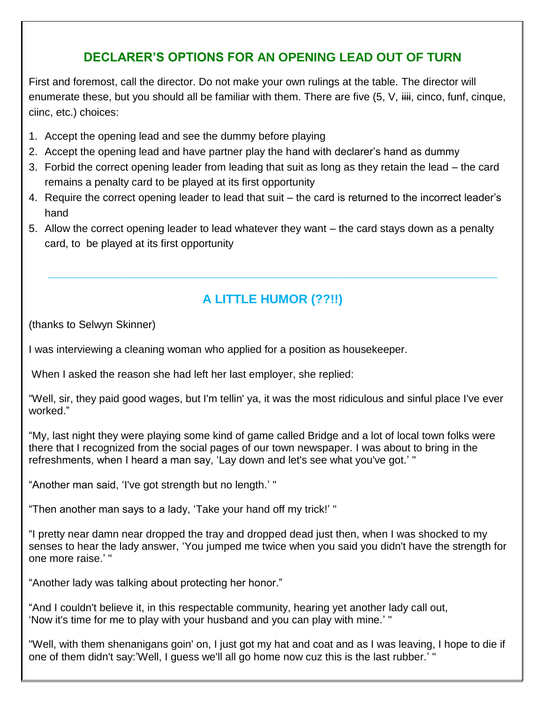### **DECLARER'S OPTIONS FOR AN OPENING LEAD OUT OF TURN**

First and foremost, call the director. Do not make your own rulings at the table. The director will enumerate these, but you should all be familiar with them. There are five (5, V, iiii, cinco, funf, cinque, ciinc, etc.) choices:

- 1. Accept the opening lead and see the dummy before playing
- 2. Accept the opening lead and have partner play the hand with declarer's hand as dummy
- 3. Forbid the correct opening leader from leading that suit as long as they retain the lead the card remains a penalty card to be played at its first opportunity
- 4. Require the correct opening leader to lead that suit the card is returned to the incorrect leader's hand
- 5. Allow the correct opening leader to lead whatever they want the card stays down as a penalty card, to be played at its first opportunity

# **A LITTLE HUMOR (??!!)**

**\_\_\_\_\_\_\_\_\_\_\_\_\_\_\_\_\_\_\_\_\_\_\_\_\_\_\_\_\_\_\_\_\_\_\_\_\_\_\_\_\_\_\_\_\_\_\_\_\_\_\_\_\_\_\_\_\_\_\_\_\_\_\_\_\_**

(thanks to Selwyn Skinner)

I was interviewing a cleaning woman who applied for a position as housekeeper.

When I asked the reason she had left her last employer, she replied:

"Well, sir, they paid good wages, but I'm tellin' ya, it was the most ridiculous and sinful place I've ever worked."

"My, last night they were playing some kind of game called Bridge and a lot of local town folks were there that I recognized from the social pages of our town newspaper. I was about to bring in the refreshments, when I heard a man say, 'Lay down and let's see what you've got.' "

"Another man said, 'I've got strength but no length.' "

"Then another man says to a lady, 'Take your hand off my trick!' "

"I pretty near damn near dropped the tray and dropped dead just then, when I was shocked to my senses to hear the lady answer, 'You jumped me twice when you said you didn't have the strength for one more raise.' "

"Another lady was talking about protecting her honor."

"And I couldn't believe it, in this respectable community, hearing yet another lady call out, 'Now it's time for me to play with your husband and you can play with mine.' "

"Well, with them shenanigans goin' on, I just got my hat and coat and as I was leaving, I hope to die if one of them didn't say:'Well, I guess we'll all go home now cuz this is the last rubber.' "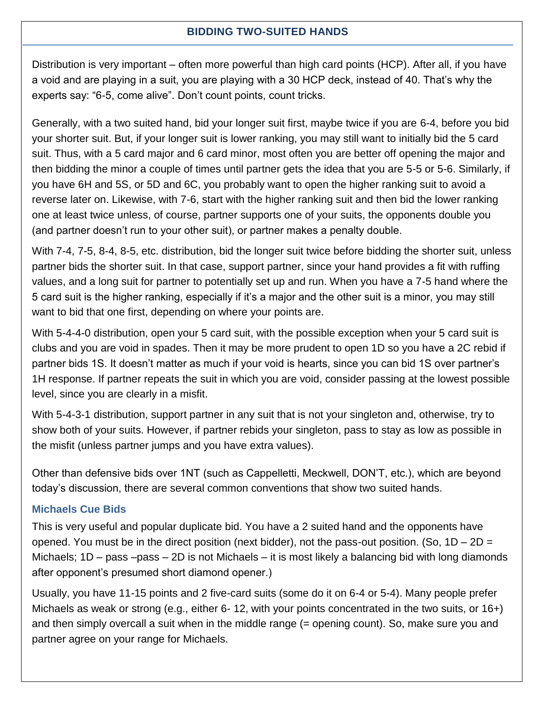#### **BIDDING TWO-SUITED HANDS**

Distribution is very important – often more powerful than high card points (HCP). After all, if you have a void and are playing in a suit, you are playing with a 30 HCP deck, instead of 40. That's why the experts say: "6-5, come alive". Don't count points, count tricks.

Generally, with a two suited hand, bid your longer suit first, maybe twice if you are 6-4, before you bid your shorter suit. But, if your longer suit is lower ranking, you may still want to initially bid the 5 card suit. Thus, with a 5 card major and 6 card minor, most often you are better off opening the major and then bidding the minor a couple of times until partner gets the idea that you are 5-5 or 5-6. Similarly, if you have 6H and 5S, or 5D and 6C, you probably want to open the higher ranking suit to avoid a reverse later on. Likewise, with 7-6, start with the higher ranking suit and then bid the lower ranking one at least twice unless, of course, partner supports one of your suits, the opponents double you (and partner doesn't run to your other suit), or partner makes a penalty double.

With 7-4, 7-5, 8-4, 8-5, etc. distribution, bid the longer suit twice before bidding the shorter suit, unless partner bids the shorter suit. In that case, support partner, since your hand provides a fit with ruffing values, and a long suit for partner to potentially set up and run. When you have a 7-5 hand where the 5 card suit is the higher ranking, especially if it's a major and the other suit is a minor, you may still want to bid that one first, depending on where your points are.

With 5-4-4-0 distribution, open your 5 card suit, with the possible exception when your 5 card suit is clubs and you are void in spades. Then it may be more prudent to open 1D so you have a 2C rebid if partner bids 1S. It doesn't matter as much if your void is hearts, since you can bid 1S over partner's 1H response. If partner repeats the suit in which you are void, consider passing at the lowest possible level, since you are clearly in a misfit.

With 5-4-3-1 distribution, support partner in any suit that is not your singleton and, otherwise, try to show both of your suits. However, if partner rebids your singleton, pass to stay as low as possible in the misfit (unless partner jumps and you have extra values).

Other than defensive bids over 1NT (such as Cappelletti, Meckwell, DON'T, etc.), which are beyond today's discussion, there are several common conventions that show two suited hands.

#### **Michaels Cue Bids**

This is very useful and popular duplicate bid. You have a 2 suited hand and the opponents have opened. You must be in the direct position (next bidder), not the pass-out position. (So,  $1D - 2D =$ Michaels; 1D – pass –pass – 2D is not Michaels – it is most likely a balancing bid with long diamonds after opponent's presumed short diamond opener.)

Usually, you have 11-15 points and 2 five-card suits (some do it on 6-4 or 5-4). Many people prefer Michaels as weak or strong (e.g., either 6- 12, with your points concentrated in the two suits, or 16+) and then simply overcall a suit when in the middle range (= opening count). So, make sure you and partner agree on your range for Michaels.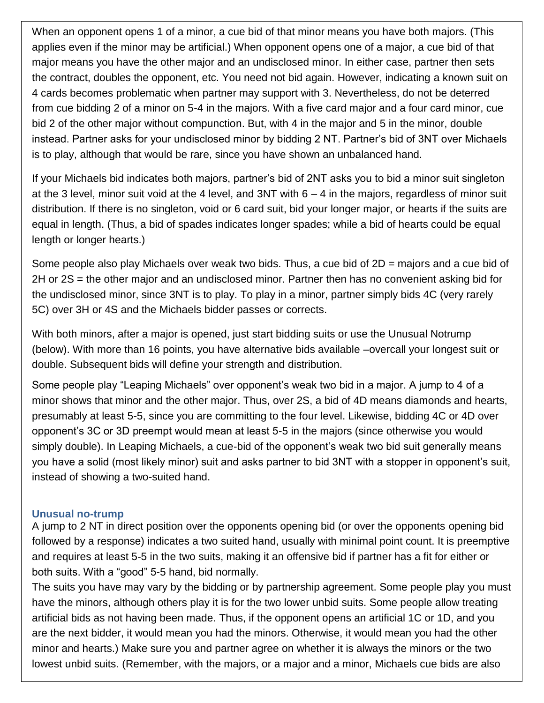When an opponent opens 1 of a minor, a cue bid of that minor means you have both majors. (This applies even if the minor may be artificial.) When opponent opens one of a major, a cue bid of that major means you have the other major and an undisclosed minor. In either case, partner then sets the contract, doubles the opponent, etc. You need not bid again. However, indicating a known suit on 4 cards becomes problematic when partner may support with 3. Nevertheless, do not be deterred from cue bidding 2 of a minor on 5-4 in the majors. With a five card major and a four card minor, cue bid 2 of the other major without compunction. But, with 4 in the major and 5 in the minor, double instead. Partner asks for your undisclosed minor by bidding 2 NT. Partner's bid of 3NT over Michaels is to play, although that would be rare, since you have shown an unbalanced hand.

If your Michaels bid indicates both majors, partner's bid of 2NT asks you to bid a minor suit singleton at the 3 level, minor suit void at the 4 level, and 3NT with 6 – 4 in the majors, regardless of minor suit distribution. If there is no singleton, void or 6 card suit, bid your longer major, or hearts if the suits are equal in length. (Thus, a bid of spades indicates longer spades; while a bid of hearts could be equal length or longer hearts.)

Some people also play Michaels over weak two bids. Thus, a cue bid of 2D = majors and a cue bid of 2H or 2S = the other major and an undisclosed minor. Partner then has no convenient asking bid for the undisclosed minor, since 3NT is to play. To play in a minor, partner simply bids 4C (very rarely 5C) over 3H or 4S and the Michaels bidder passes or corrects.

With both minors, after a major is opened, just start bidding suits or use the Unusual Notrump (below). With more than 16 points, you have alternative bids available –overcall your longest suit or double. Subsequent bids will define your strength and distribution.

Some people play "Leaping Michaels" over opponent's weak two bid in a major. A jump to 4 of a minor shows that minor and the other major. Thus, over 2S, a bid of 4D means diamonds and hearts, presumably at least 5-5, since you are committing to the four level. Likewise, bidding 4C or 4D over opponent's 3C or 3D preempt would mean at least 5-5 in the majors (since otherwise you would simply double). In Leaping Michaels, a cue-bid of the opponent's weak two bid suit generally means you have a solid (most likely minor) suit and asks partner to bid 3NT with a stopper in opponent's suit, instead of showing a two-suited hand.

#### **Unusual no-trump**

A jump to 2 NT in direct position over the opponents opening bid (or over the opponents opening bid followed by a response) indicates a two suited hand, usually with minimal point count. It is preemptive and requires at least 5-5 in the two suits, making it an offensive bid if partner has a fit for either or both suits. With a "good" 5-5 hand, bid normally.

The suits you have may vary by the bidding or by partnership agreement. Some people play you must have the minors, although others play it is for the two lower unbid suits. Some people allow treating artificial bids as not having been made. Thus, if the opponent opens an artificial 1C or 1D, and you are the next bidder, it would mean you had the minors. Otherwise, it would mean you had the other minor and hearts.) Make sure you and partner agree on whether it is always the minors or the two lowest unbid suits. (Remember, with the majors, or a major and a minor, Michaels cue bids are also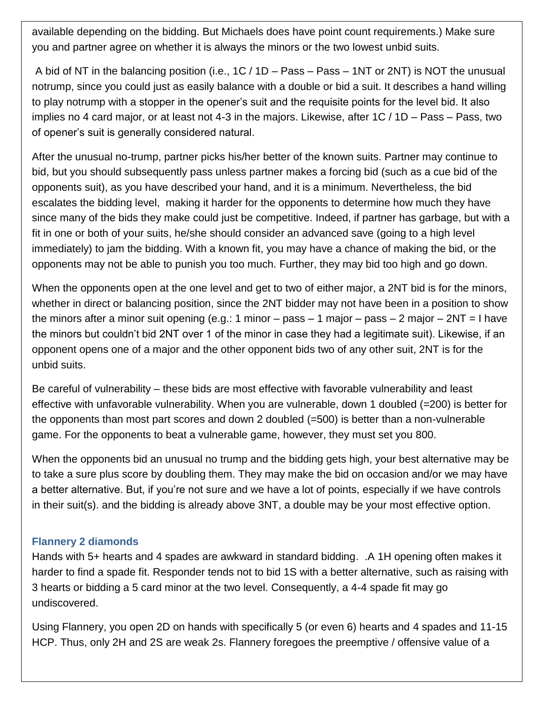available depending on the bidding. But Michaels does have point count requirements.) Make sure you and partner agree on whether it is always the minors or the two lowest unbid suits.

A bid of NT in the balancing position (i.e., 1C / 1D – Pass – Pass – 1NT or 2NT) is NOT the unusual notrump, since you could just as easily balance with a double or bid a suit. It describes a hand willing to play notrump with a stopper in the opener's suit and the requisite points for the level bid. It also implies no 4 card major, or at least not 4-3 in the majors. Likewise, after 1C / 1D – Pass – Pass, two of opener's suit is generally considered natural.

After the unusual no-trump, partner picks his/her better of the known suits. Partner may continue to bid, but you should subsequently pass unless partner makes a forcing bid (such as a cue bid of the opponents suit), as you have described your hand, and it is a minimum. Nevertheless, the bid escalates the bidding level, making it harder for the opponents to determine how much they have since many of the bids they make could just be competitive. Indeed, if partner has garbage, but with a fit in one or both of your suits, he/she should consider an advanced save (going to a high level immediately) to jam the bidding. With a known fit, you may have a chance of making the bid, or the opponents may not be able to punish you too much. Further, they may bid too high and go down.

When the opponents open at the one level and get to two of either major, a 2NT bid is for the minors, whether in direct or balancing position, since the 2NT bidder may not have been in a position to show the minors after a minor suit opening (e.g.: 1 minor – pass – 1 major – pass – 2 major –  $2NT = I$  have the minors but couldn't bid 2NT over 1 of the minor in case they had a legitimate suit). Likewise, if an opponent opens one of a major and the other opponent bids two of any other suit, 2NT is for the unbid suits.

Be careful of vulnerability – these bids are most effective with favorable vulnerability and least effective with unfavorable vulnerability. When you are vulnerable, down 1 doubled (=200) is better for the opponents than most part scores and down 2 doubled (=500) is better than a non-vulnerable game. For the opponents to beat a vulnerable game, however, they must set you 800.

When the opponents bid an unusual no trump and the bidding gets high, your best alternative may be to take a sure plus score by doubling them. They may make the bid on occasion and/or we may have a better alternative. But, if you're not sure and we have a lot of points, especially if we have controls in their suit(s). and the bidding is already above 3NT, a double may be your most effective option.

#### **Flannery 2 diamonds**

Hands with 5+ hearts and 4 spades are awkward in standard bidding. .A 1H opening often makes it harder to find a spade fit. Responder tends not to bid 1S with a better alternative, such as raising with 3 hearts or bidding a 5 card minor at the two level. Consequently, a 4-4 spade fit may go undiscovered.

Using Flannery, you open 2D on hands with specifically 5 (or even 6) hearts and 4 spades and 11-15 HCP. Thus, only 2H and 2S are weak 2s. Flannery foregoes the preemptive / offensive value of a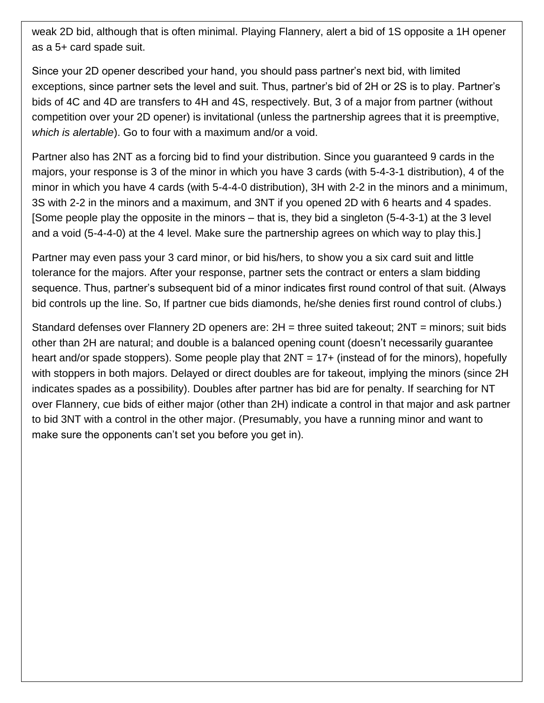weak 2D bid, although that is often minimal. Playing Flannery, alert a bid of 1S opposite a 1H opener as a 5+ card spade suit.

Since your 2D opener described your hand, you should pass partner's next bid, with limited exceptions, since partner sets the level and suit. Thus, partner's bid of 2H or 2S is to play. Partner's bids of 4C and 4D are transfers to 4H and 4S, respectively. But, 3 of a major from partner (without competition over your 2D opener) is invitational (unless the partnership agrees that it is preemptive, *which is alertable*). Go to four with a maximum and/or a void.

Partner also has 2NT as a forcing bid to find your distribution. Since you guaranteed 9 cards in the majors, your response is 3 of the minor in which you have 3 cards (with 5-4-3-1 distribution), 4 of the minor in which you have 4 cards (with 5-4-4-0 distribution), 3H with 2-2 in the minors and a minimum, 3S with 2-2 in the minors and a maximum, and 3NT if you opened 2D with 6 hearts and 4 spades. [Some people play the opposite in the minors – that is, they bid a singleton (5-4-3-1) at the 3 level and a void (5-4-4-0) at the 4 level. Make sure the partnership agrees on which way to play this.]

Partner may even pass your 3 card minor, or bid his/hers, to show you a six card suit and little tolerance for the majors. After your response, partner sets the contract or enters a slam bidding sequence. Thus, partner's subsequent bid of a minor indicates first round control of that suit. (Always bid controls up the line. So, If partner cue bids diamonds, he/she denies first round control of clubs.)

Standard defenses over Flannery 2D openers are: 2H = three suited takeout; 2NT = minors; suit bids other than 2H are natural; and double is a balanced opening count (doesn't necessarily guarantee heart and/or spade stoppers). Some people play that  $2NT = 17+$  (instead of for the minors), hopefully with stoppers in both majors. Delayed or direct doubles are for takeout, implying the minors (since 2H indicates spades as a possibility). Doubles after partner has bid are for penalty. If searching for NT over Flannery, cue bids of either major (other than 2H) indicate a control in that major and ask partner to bid 3NT with a control in the other major. (Presumably, you have a running minor and want to make sure the opponents can't set you before you get in).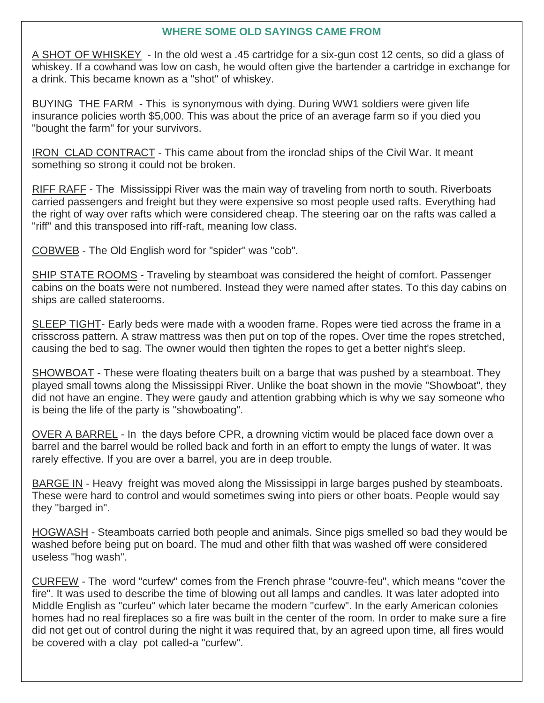#### **WHERE SOME OLD SAYINGS CAME FROM**

A SHOT OF WHISKEY - In the old west a .45 cartridge for a six-gun cost 12 cents, so did a glass of whiskey. If a cowhand was low on cash, he would often give the bartender a cartridge in exchange for a drink. This became known as a "shot" of whiskey.

BUYING THE FARM - This is synonymous with dying. During WW1 soldiers were given life insurance policies worth \$5,000. This was about the price of an average farm so if you died you "bought the farm" for your survivors.

IRON CLAD CONTRACT - This came about from the ironclad ships of the Civil War. It meant something so strong it could not be broken.

RIFF RAFF - The Mississippi River was the main way of traveling from north to south. Riverboats carried passengers and freight but they were expensive so most people used rafts. Everything had the right of way over rafts which were considered cheap. The steering oar on the rafts was called a "riff" and this transposed into riff-raft, meaning low class.

COBWEB - The Old English word for "spider" was "cob".

SHIP STATE ROOMS - Traveling by steamboat was considered the height of comfort. Passenger cabins on the boats were not numbered. Instead they were named after states. To this day cabins on ships are called staterooms.

SLEEP TIGHT- Early beds were made with a wooden frame. Ropes were tied across the frame in a crisscross pattern. A straw mattress was then put on top of the ropes. Over time the ropes stretched, causing the bed to sag. The owner would then tighten the ropes to get a better night's sleep.

SHOWBOAT - These were floating theaters built on a barge that was pushed by a steamboat. They played small towns along the Mississippi River. Unlike the boat shown in the movie "Showboat", they did not have an engine. They were gaudy and attention grabbing which is why we say someone who is being the life of the party is "showboating".

OVER A BARREL - In the days before CPR, a drowning victim would be placed face down over a barrel and the barrel would be rolled back and forth in an effort to empty the lungs of water. It was rarely effective. If you are over a barrel, you are in deep trouble.

BARGE IN - Heavy freight was moved along the Mississippi in large barges pushed by steamboats. These were hard to control and would sometimes swing into piers or other boats. People would say they "barged in".

HOGWASH - Steamboats carried both people and animals. Since pigs smelled so bad they would be washed before being put on board. The mud and other filth that was washed off were considered useless "hog wash".

CURFEW - The word "curfew" comes from the French phrase "couvre-feu", which means "cover the fire". It was used to describe the time of blowing out all lamps and candles. It was later adopted into Middle English as "curfeu" which later became the modern "curfew". In the early American colonies homes had no real fireplaces so a fire was built in the center of the room. In order to make sure a fire did not get out of control during the night it was required that, by an agreed upon time, all fires would be covered with a clay pot called-a "curfew".